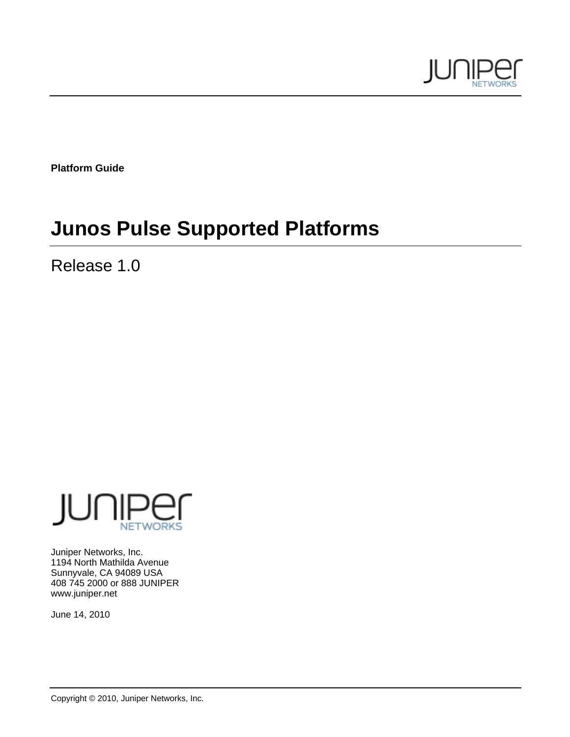

**Platform Guide** 

# **Junos Pulse Supported Platforms**

Release 1.0



Juniper Networks, Inc. 1194 North Mathilda Avenue Sunnyvale, CA 94089 USA 408 745 2000 or 888 JUNIPER www.juniper.net

June 14, 2010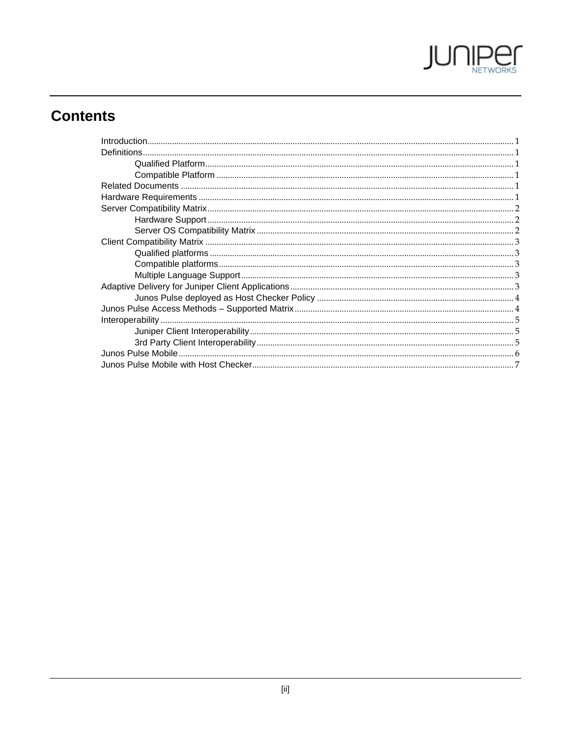

# **Contents**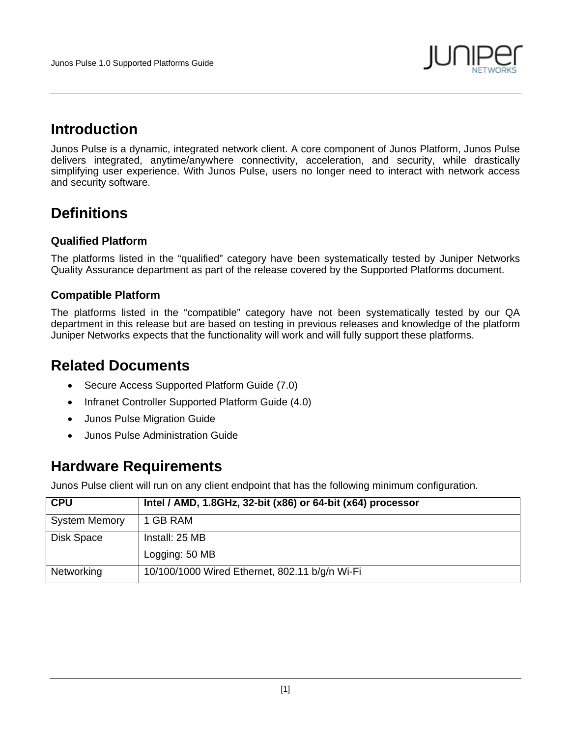

### **Introduction**

Junos Pulse is a dynamic, integrated network client. A core component of Junos Platform, Junos Pulse delivers integrated, anytime/anywhere connectivity, acceleration, and security, while drastically simplifying user experience. With Junos Pulse, users no longer need to interact with network access and security software.

## **Definitions**

#### **Qualified Platform**

The platforms listed in the "qualified" category have been systematically tested by Juniper Networks Quality Assurance department as part of the release covered by the Supported Platforms document.

#### **Compatible Platform**

The platforms listed in the "compatible" category have not been systematically tested by our QA department in this release but are based on testing in previous releases and knowledge of the platform Juniper Networks expects that the functionality will work and will fully support these platforms.

### **Related Documents**

- Secure Access Supported Platform Guide (7.0)
- Infranet Controller Supported Platform Guide (4.0)
- Junos Pulse Migration Guide
- Junos Pulse Administration Guide

### **Hardware Requirements**

Junos Pulse client will run on any client endpoint that has the following minimum configuration.

| <b>CPU</b>           | Intel / AMD, 1.8GHz, 32-bit (x86) or 64-bit (x64) processor |
|----------------------|-------------------------------------------------------------|
| <b>System Memory</b> | 1 GB RAM                                                    |
| Disk Space           | Install: 25 MB                                              |
|                      | Logging: 50 MB                                              |
| Networking           | 10/100/1000 Wired Ethernet, 802.11 b/g/n Wi-Fi              |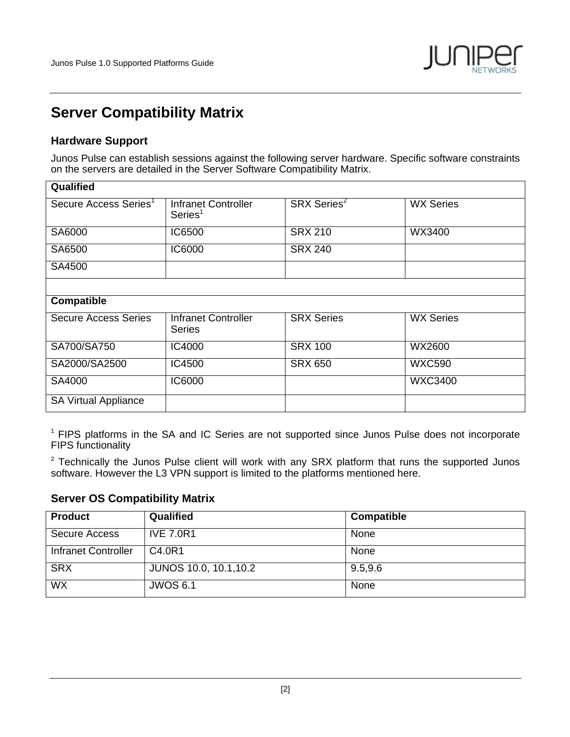

### **Server Compatibility Matrix**

#### **Hardware Support**

Junos Pulse can establish sessions against the following server hardware. Specific software constraints on the servers are detailed in the Server Software Compatibility Matrix.

| Qualified                         |                                             |                         |                  |
|-----------------------------------|---------------------------------------------|-------------------------|------------------|
| Secure Access Series <sup>1</sup> | Infranet Controller<br>Series <sup>1</sup>  | SRX Series <sup>2</sup> | <b>WX Series</b> |
| SA6000                            | IC6500                                      | <b>SRX 210</b>          | WX3400           |
| SA6500                            | <b>IC6000</b>                               | <b>SRX 240</b>          |                  |
| SA4500                            |                                             |                         |                  |
|                                   |                                             |                         |                  |
| <b>Compatible</b>                 |                                             |                         |                  |
| <b>Secure Access Series</b>       | <b>Infranet Controller</b><br><b>Series</b> | <b>SRX Series</b>       | <b>WX Series</b> |
| SA700/SA750                       | IC4000                                      | <b>SRX 100</b>          | WX2600           |
| SA2000/SA2500                     | IC4500                                      | <b>SRX 650</b>          | <b>WXC590</b>    |
| SA4000                            | <b>IC6000</b>                               |                         | <b>WXC3400</b>   |
| <b>SA Virtual Appliance</b>       |                                             |                         |                  |

<sup>1</sup> FIPS platforms in the SA and IC Series are not supported since Junos Pulse does not incorporate FIPS functionality

 $2$  Technically the Junos Pulse client will work with any SRX platform that runs the supported Junos software. However the L3 VPN support is limited to the platforms mentioned here.

#### **Server OS Compatibility Matrix**

| <b>Product</b>      | Qualified                     | Compatible |
|---------------------|-------------------------------|------------|
| Secure Access       | <b>IVE 7.0R1</b>              | None       |
| Infranet Controller | C4.0R1                        | None       |
| <b>SRX</b>          | <b>JUNOS 10.0, 10.1, 10.2</b> | 9.5, 9.6   |
| <b>WX</b>           | <b>JWOS 6.1</b>               | None       |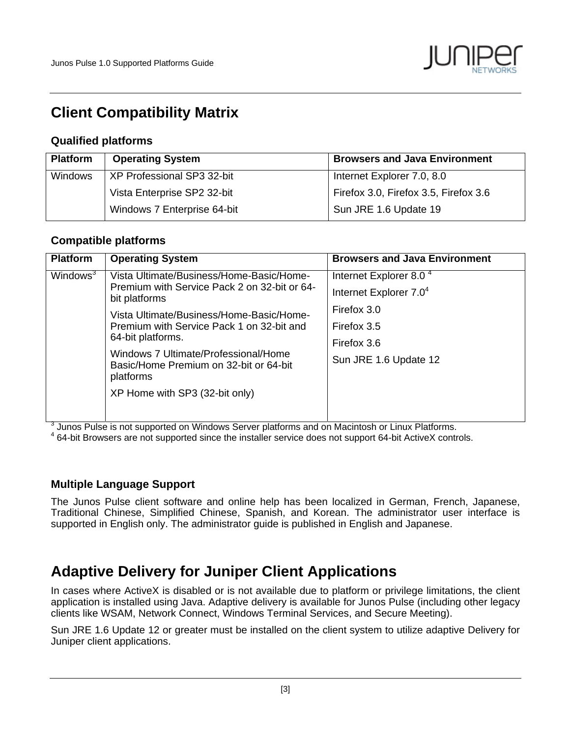

### **Client Compatibility Matrix**

#### **Qualified platforms**

| <b>Platform</b> | <b>Operating System</b>     | <b>Browsers and Java Environment</b>  |
|-----------------|-----------------------------|---------------------------------------|
| Windows         | XP Professional SP3 32-bit  | Internet Explorer 7.0, 8.0            |
|                 | Vista Enterprise SP2 32-bit | Firefox 3.0, Firefox 3.5, Firefox 3.6 |
|                 | Windows 7 Enterprise 64-bit | Sun JRE 1.6 Update 19                 |

#### **Compatible platforms**

| <b>Platform</b>      | <b>Operating System</b>                                                                                                                                                                                                                                                                                                                                  | <b>Browsers and Java Environment</b>                                                                                                           |
|----------------------|----------------------------------------------------------------------------------------------------------------------------------------------------------------------------------------------------------------------------------------------------------------------------------------------------------------------------------------------------------|------------------------------------------------------------------------------------------------------------------------------------------------|
| Windows <sup>3</sup> | Vista Ultimate/Business/Home-Basic/Home-<br>Premium with Service Pack 2 on 32-bit or 64-<br>bit platforms<br>Vista Ultimate/Business/Home-Basic/Home-<br>Premium with Service Pack 1 on 32-bit and<br>64-bit platforms.<br>Windows 7 Ultimate/Professional/Home<br>Basic/Home Premium on 32-bit or 64-bit<br>platforms<br>XP Home with SP3 (32-bit only) | Internet Explorer 8.0 <sup>4</sup><br>Internet Explorer 7.0 <sup>4</sup><br>Firefox 3.0<br>Firefox 3.5<br>Firefox 3.6<br>Sun JRE 1.6 Update 12 |
|                      |                                                                                                                                                                                                                                                                                                                                                          |                                                                                                                                                |

 $\frac{3}{3}$  Junos Pulse is not supported on Windows Server platforms and on Macintosh or Linux Platforms.<br> $\frac{4}{3}$  C4 bit Provisors are not supported since the installar service does not support C4 bit ActiveX septration

64-bit Browsers are not supported since the installer service does not support 64-bit ActiveX controls.

#### **Multiple Language Support**

The Junos Pulse client software and online help has been localized in German, French, Japanese, Traditional Chinese, Simplified Chinese, Spanish, and Korean. The administrator user interface is supported in English only. The administrator guide is published in English and Japanese.

### **Adaptive Delivery for Juniper Client Applications**

In cases where ActiveX is disabled or is not available due to platform or privilege limitations, the client application is installed using Java. Adaptive delivery is available for Junos Pulse (including other legacy clients like WSAM, Network Connect, Windows Terminal Services, and Secure Meeting).

Sun JRE 1.6 Update 12 or greater must be installed on the client system to utilize adaptive Delivery for Juniper client applications.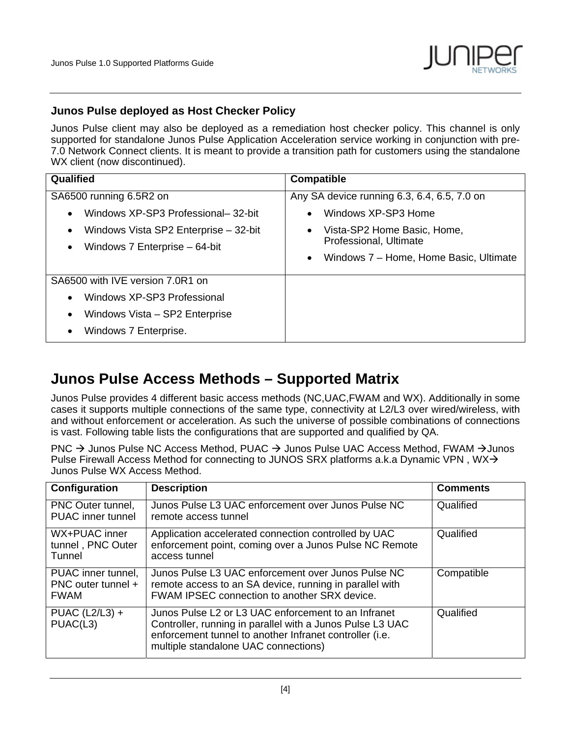

#### **Junos Pulse deployed as Host Checker Policy**

Junos Pulse client may also be deployed as a remediation host checker policy. This channel is only supported for standalone Junos Pulse Application Acceleration service working in conjunction with pre-7.0 Network Connect clients. It is meant to provide a transition path for customers using the standalone WX client (now discontinued).

| Qualified                                                                                                                                                                       | <b>Compatible</b>                                                                                                                                                                               |
|---------------------------------------------------------------------------------------------------------------------------------------------------------------------------------|-------------------------------------------------------------------------------------------------------------------------------------------------------------------------------------------------|
| SA6500 running 6.5R2 on<br>Windows XP-SP3 Professional- 32-bit<br>$\bullet$<br>Windows Vista SP2 Enterprise – 32-bit<br>$\bullet$<br>Windows 7 Enterprise – 64-bit<br>$\bullet$ | Any SA device running 6.3, 6.4, 6.5, 7.0 on<br>Windows XP-SP3 Home<br>$\bullet$<br>Vista-SP2 Home Basic, Home,<br>Professional, Ultimate<br>Windows 7 - Home, Home Basic, Ultimate<br>$\bullet$ |
| SA6500 with IVE version 7,0R1 on<br>Windows XP-SP3 Professional<br>$\bullet$<br>Windows Vista – SP2 Enterprise<br>$\bullet$<br>Windows 7 Enterprise.<br>$\bullet$               |                                                                                                                                                                                                 |

### **Junos Pulse Access Methods – Supported Matrix**

Junos Pulse provides 4 different basic access methods (NC,UAC,FWAM and WX). Additionally in some cases it supports multiple connections of the same type, connectivity at L2/L3 over wired/wireless, with and without enforcement or acceleration. As such the universe of possible combinations of connections is vast. Following table lists the configurations that are supported and qualified by QA.

PNC  $\rightarrow$  Junos Pulse NC Access Method, PUAC  $\rightarrow$  Junos Pulse UAC Access Method, FWAM  $\rightarrow$  Junos Pulse Firewall Access Method for connecting to JUNOS SRX platforms a.k.a Dynamic VPN, WX $\rightarrow$ Junos Pulse WX Access Method.

| Configuration                                           | <b>Description</b>                                                                                                                                                                                                  | <b>Comments</b> |
|---------------------------------------------------------|---------------------------------------------------------------------------------------------------------------------------------------------------------------------------------------------------------------------|-----------------|
| PNC Outer tunnel,<br><b>PUAC</b> inner tunnel           | Junos Pulse L3 UAC enforcement over Junos Pulse NC<br>remote access tunnel                                                                                                                                          | Qualified       |
| WX+PUAC inner<br>tunnel, PNC Outer<br>Tunnel            | Application accelerated connection controlled by UAC<br>enforcement point, coming over a Junos Pulse NC Remote<br>access tunnel                                                                                     | Qualified       |
| PUAC inner tunnel,<br>PNC outer tunnel +<br><b>FWAM</b> | Junos Pulse L3 UAC enforcement over Junos Pulse NC<br>remote access to an SA device, running in parallel with<br>FWAM IPSEC connection to another SRX device.                                                       | Compatible      |
| PUAC $(L2/L3)$ +<br>PUAC(L3)                            | Junos Pulse L2 or L3 UAC enforcement to an Infranet<br>Controller, running in parallel with a Junos Pulse L3 UAC<br>enforcement tunnel to another Infranet controller (i.e.<br>multiple standalone UAC connections) | Qualified       |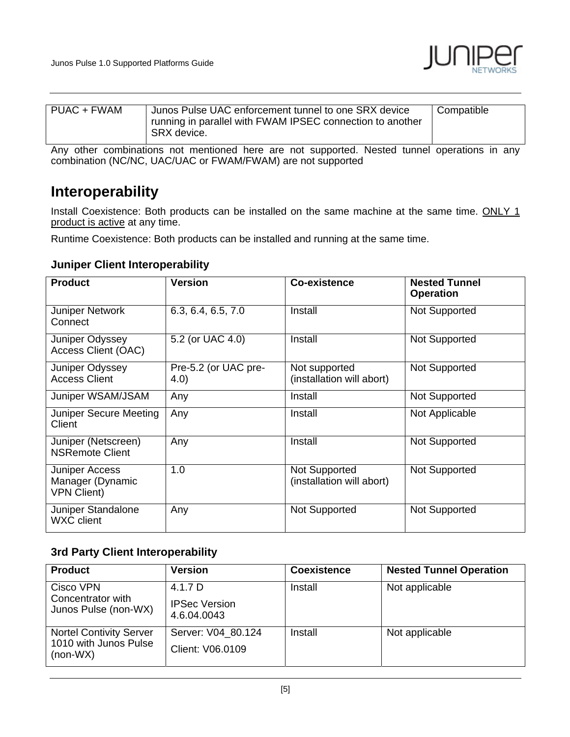

| PUAC + FWAM | Junos Pulse UAC enforcement tunnel to one SRX device<br>running in parallel with FWAM IPSEC connection to another<br>SRX device. | Compatible |
|-------------|----------------------------------------------------------------------------------------------------------------------------------|------------|
|             |                                                                                                                                  |            |

Any other combinations not mentioned here are not supported. Nested tunnel operations in any combination (NC/NC, UAC/UAC or FWAM/FWAM) are not supported

### **Interoperability**

Install Coexistence: Both products can be installed on the same machine at the same time. ONLY 1 product is active at any time.

Runtime Coexistence: Both products can be installed and running at the same time.

#### **Juniper Client Interoperability**

| <b>Product</b>                                           | <b>Version</b>               | Co-existence                               | <b>Nested Tunnel</b><br><b>Operation</b> |
|----------------------------------------------------------|------------------------------|--------------------------------------------|------------------------------------------|
| <b>Juniper Network</b><br>Connect                        | 6.3, 6.4, 6.5, 7.0           | Install                                    | Not Supported                            |
| Juniper Odyssey<br>Access Client (OAC)                   | 5.2 (or UAC 4.0)             | Install                                    | Not Supported                            |
| Juniper Odyssey<br><b>Access Client</b>                  | Pre-5.2 (or UAC pre-<br>4.0) | Not supported<br>(installation will abort) | Not Supported                            |
| Juniper WSAM/JSAM                                        | Any                          | Install                                    | Not Supported                            |
| Juniper Secure Meeting<br>Client                         | Any                          | Install                                    | Not Applicable                           |
| Juniper (Netscreen)<br><b>NSRemote Client</b>            | Any                          | Install                                    | Not Supported                            |
| Juniper Access<br>Manager (Dynamic<br><b>VPN Client)</b> | 1.0                          | Not Supported<br>(installation will abort) | Not Supported                            |
| Juniper Standalone<br><b>WXC</b> client                  | Any                          | Not Supported                              | Not Supported                            |

#### **3rd Party Client Interoperability**

| <b>Product</b>                                                        | <b>Version</b>                                 | <b>Coexistence</b> | <b>Nested Tunnel Operation</b> |
|-----------------------------------------------------------------------|------------------------------------------------|--------------------|--------------------------------|
| Cisco VPN<br>Concentrator with<br>Junos Pulse (non-WX)                | 4.1.7 D<br><b>IPSec Version</b><br>4.6.04.0043 | Install            | Not applicable                 |
| <b>Nortel Contivity Server</b><br>1010 with Junos Pulse<br>$(non-WX)$ | Server: V04 80.124<br>Client: V06.0109         | Install            | Not applicable                 |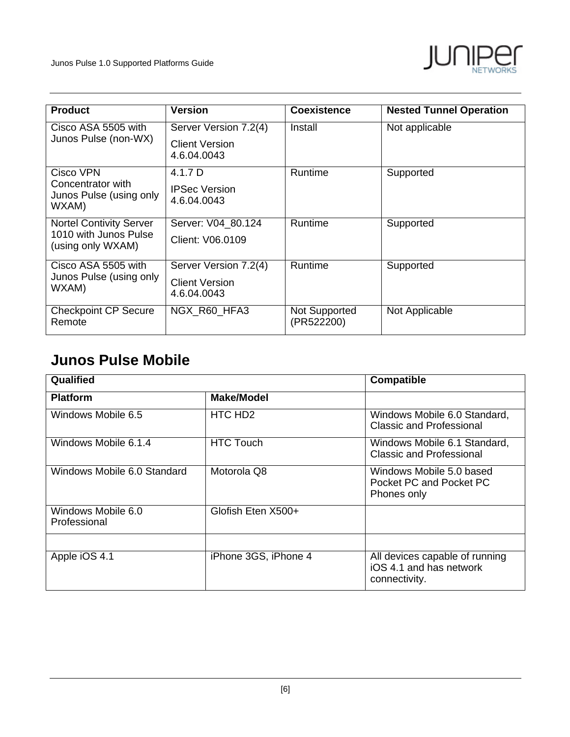

| <b>Product</b>                                        | <b>Version</b>                       | <b>Coexistence</b>          | <b>Nested Tunnel Operation</b> |
|-------------------------------------------------------|--------------------------------------|-----------------------------|--------------------------------|
| Cisco ASA 5505 with                                   | Server Version 7.2(4)                | Install                     | Not applicable                 |
| Junos Pulse (non-WX)                                  | <b>Client Version</b><br>4.6.04.0043 |                             |                                |
| Cisco VPN                                             | 4.1.7 D                              | Runtime                     | Supported                      |
| Concentrator with<br>Junos Pulse (using only<br>WXAM) | <b>IPSec Version</b><br>4.6.04.0043  |                             |                                |
| <b>Nortel Contivity Server</b>                        | Server: V04 80.124                   | Runtime                     | Supported                      |
| 1010 with Junos Pulse<br>(using only WXAM)            | Client: V06.0109                     |                             |                                |
| Cisco ASA 5505 with                                   | Server Version 7.2(4)                | Runtime                     | Supported                      |
| Junos Pulse (using only<br>WXAM)                      | <b>Client Version</b><br>4.6.04.0043 |                             |                                |
| <b>Checkpoint CP Secure</b><br>Remote                 | NGX_R60_HFA3                         | Not Supported<br>(PR522200) | Not Applicable                 |

### **Junos Pulse Mobile**

| Qualified                          |                      | <b>Compatible</b>                                                          |
|------------------------------------|----------------------|----------------------------------------------------------------------------|
| <b>Platform</b>                    | <b>Make/Model</b>    |                                                                            |
| Windows Mobile 6.5                 | HTC HD <sub>2</sub>  | Windows Mobile 6.0 Standard,<br><b>Classic and Professional</b>            |
| Windows Mobile 6.1.4               | <b>HTC Touch</b>     | Windows Mobile 6.1 Standard,<br>Classic and Professional                   |
| Windows Mobile 6.0 Standard        | Motorola Q8          | Windows Mobile 5.0 based<br>Pocket PC and Pocket PC<br>Phones only         |
| Windows Mobile 6.0<br>Professional | Glofish Eten X500+   |                                                                            |
| Apple iOS 4.1                      | iPhone 3GS, iPhone 4 | All devices capable of running<br>iOS 4.1 and has network<br>connectivity. |